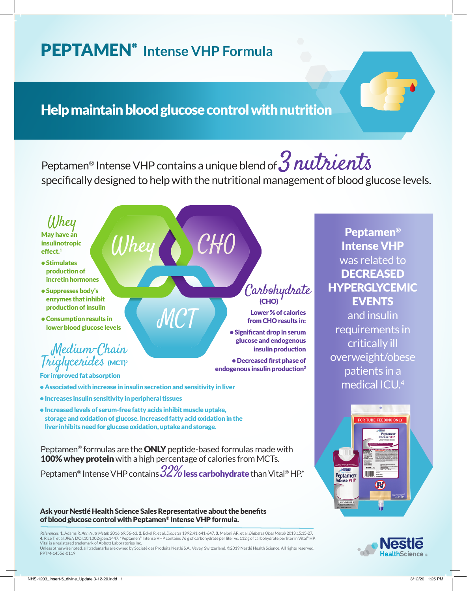# PEPTAMEN® **Intense VHP Formula**

# Help maintain blood glucose control with nutrition

Whey CHO

WC

Peptamen<sup>®</sup> Intense VHP contains a unique blend of  $3$  nutrients specifically designed to help with the nutritional management of blood glucose levels.



- Stimulates production of incretin hormones
- Suppresses body's enzymes that inhibit production of insulin
- Consumption results in lower blood glucose levels

## Medium-Chain Triglycerides (MCT)2

For improved fat absorption

- Associated with increase in insulin secretion and sensitivity in liver
- Increases insulin sensitivity in peripheral tissues
- Increased levels of serum-free fatty acids inhibit muscle uptake, storage and oxidation of glucose. Increased fatty acid oxidation in the liver inhibits need for glucose oxidation, uptake and storage.

Peptamen® formulas are the ONLY peptide-based formulas made with 100% whey protein with a high percentage of calories from MCTs.

Peptamen® Intense VHP contains  $32\%$  less carbohydrate than Vital® HP.\*

#### Ask your Nestlé Health Science Sales Representative about the benefits of blood glucose control with Peptamen® Intense VHP formula.

 *References:* 1. Adams R. *Ann Nutr Metab* 2016;69:56-63. 2. Eckel R, et al. *Diabetes* 1992;41:641-647. 3. Meloni AR, et al. *Diabetes Obes Metab* 2013;15:15-27. 4. Rice T, et al. *JPEN* DOI:10.1002/jpen.1447. \*Peptamen® Intense VHP contains 76 g of carbohydrate per liter vs. 112 g of carbohydrate per liter in Vital® HP. Vital is a registered trademark of Abbott Laboratories Inc.

Unless otherwise noted, all trademarks are owned by Société des Produits Nestlé S.A., Vevey, Switzerland. ©2019 Nestlé Health Science. All rights reserved. PPTM-14556-0119

### Carbohydrate (CHO)

Lower % of calories from CHO results in:

• Significant drop in serum glucose and endogenous insulin production

• Decreased first phase of endogenous insulin production<sup>3</sup>

### Peptamen® Intense VHP was related to **DECREASED** HYPERGLYCEMIC EVENTS

and insulin requirements in critically ill overweight/obese patients in a medical ICU.4